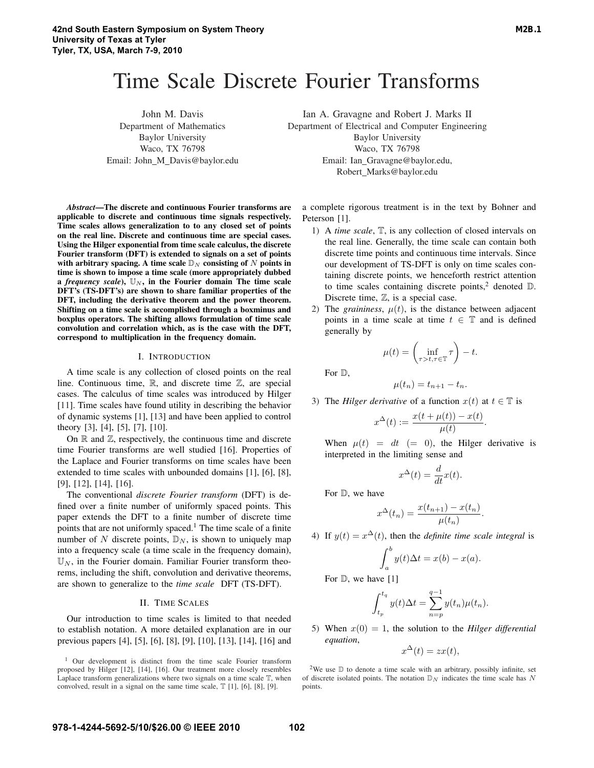# Time Scale Discrete Fourier Transforms

John M. Davis Department of Mathematics Baylor University Waco, TX 76798 Email: John\_M\_Davis@baylor.edu Ian A. Gravagne and Robert J. Marks II

Department of Electrical and Computer Engineering Baylor University Waco, TX 76798 Email: Ian Gravagne@baylor.edu, Robert Marks@baylor.edu

*Abstract*—The discrete and continuous Fourier transforms are applicable to discrete and continuous time signals respectively. Time scales allows generalization to to any closed set of points on the real line. Discrete and continuous time are special cases. Using the Hilger exponential from time scale calculus, the discrete Fourier transform (DFT) is extended to signals on a set of points with arbitrary spacing. A time scale  $\mathbb{D}_N$  consisting of N points in time is shown to impose a time scale (more appropriately dubbed a *frequency scale*),  $\mathbb{U}_N$ , in the Fourier domain The time scale DFT's (TS-DFT's) are shown to share familiar properties of the DFT, including the derivative theorem and the power theorem. Shifting on a time scale is accomplished through a boxminus and boxplus operators. The shifting allows formulation of time scale convolution and correlation which, as is the case with the DFT, correspond to multiplication in the frequency domain.

#### I. INTRODUCTION

A time scale is any collection of closed points on the real line. Continuous time, ℝ, and discrete time ℤ, are special cases. The calculus of time scales was introduced by Hilger [11]. Time scales have found utility in describing the behavior of dynamic systems [1], [13] and have been applied to control theory [3], [4], [5], [7], [10].

On  $\mathbb R$  and  $\mathbb Z$ , respectively, the continuous time and discrete time Fourier transforms are well studied [16]. Properties of the Laplace and Fourier transforms on time scales have been extended to time scales with unbounded domains [1], [6], [8], [9], [12], [14], [16].

The conventional *discrete Fourier transform* (DFT) is defined over a finite number of uniformly spaced points. This paper extends the DFT to a finite number of discrete time points that are not uniformly spaced.<sup>1</sup> The time scale of a finite number of N discrete points,  $\mathbb{D}_N$ , is shown to uniquely map into a frequency scale (a time scale in the frequency domain),  $\mathbb{U}_N$ , in the Fourier domain. Familiar Fourier transform theorems, including the shift, convolution and derivative theorems, are shown to generalize to the *time scale* DFT (TS-DFT).

## II. TIME SCALES

Our introduction to time scales is limited to that needed to establish notation. A more detailed explanation are in our previous papers [4], [5], [6], [8], [9], [10], [13], [14], [16] and a complete rigorous treatment is in the text by Bohner and Peterson [1].

- 1) A *time scale*,  $\mathbb{T}$ , is any collection of closed intervals on the real line. Generally, the time scale can contain both discrete time points and continuous time intervals. Since our development of TS-DFT is only on time scales containing discrete points, we henceforth restrict attention to time scales containing discrete points,<sup>2</sup> denoted  $\mathbb{D}$ . Discrete time, ℤ, is a special case.
- 2) The *graininess*,  $\mu(t)$ , is the distance between adjacent points in a time scale at time  $t \in \mathbb{T}$  and is defined generally by

$$
\mu(t) = \left(\inf_{\tau>t, \tau \in \mathbb{T}} \tau\right) - t.
$$

For  $\mathbb{D}$ ,

$$
\mu(t_n) = t_{n+1} - t_n.
$$

3) The *Hilger derivative* of a function  $x(t)$  at  $t \in \mathbb{T}$  is

$$
x^{\Delta}(t) := \frac{x(t + \mu(t)) - x(t)}{\mu(t)}.
$$

When  $\mu(t) = dt (= 0)$ , the Hilger derivative is interpreted in the limiting sense and

$$
x^{\Delta}(t) = \frac{d}{dt}x(t).
$$

For  $D$ , we have

$$
x^{\Delta}(t_n) = \frac{x(t_{n+1}) - x(t_n)}{\mu(t_n)}.
$$

4) If  $y(t) = x^{\Delta}(t)$ , then the *definite time scale integral* is

$$
\int_a^b y(t)\Delta t = x(b) - x(a).
$$

For  $\mathbb{D}$ , we have [1]

$$
\int_{t_p}^{t_q} y(t) \Delta t = \sum_{n=p}^{q-1} y(t_n) \mu(t_n).
$$

5) When  $x(0) = 1$ , the solution to the *Hilger differential equation*,

 $x^{\Delta}(t) = zx(t),$ 

<sup>2</sup>We use  $\mathbb D$  to denote a time scale with an arbitrary, possibly infinite, set of discrete isolated points. The notation  $\mathbb{D}_N$  indicates the time scale has N points.

<sup>1</sup> Our development is distinct from the time scale Fourier transform proposed by Hilger [12], [14], [16]. Our treatment more closely resembles Laplace transform generalizations where two signals on a time scale  $T$ , when convolved, result in a signal on the same time scale,  $T$  [1], [6], [8], [9].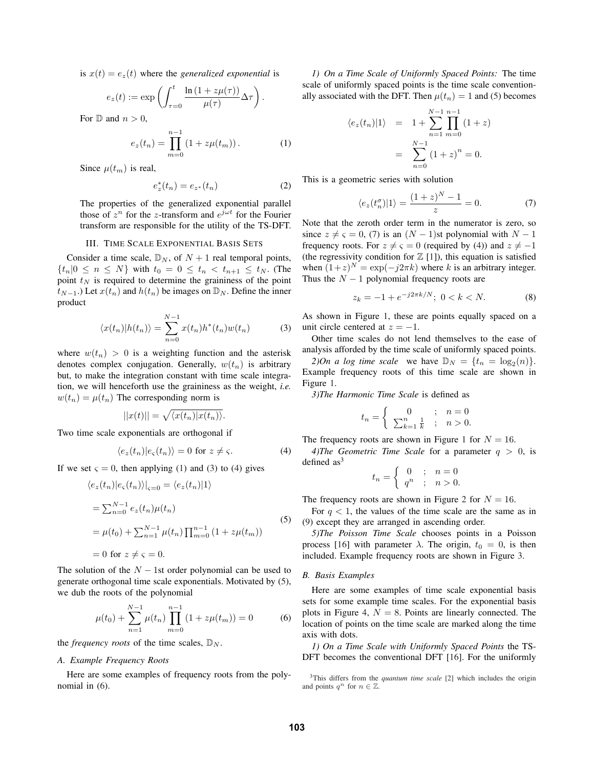is  $x(t) = e_z(t)$  where the *generalized exponential* is

$$
e_z(t) := \exp\left(\int_{\tau=0}^t \frac{\ln\left(1 + z\mu(\tau)\right)}{\mu(\tau)} \Delta \tau\right).
$$

For  $\mathbb D$  and  $n > 0$ ,

$$
e_z(t_n) = \prod_{m=0}^{n-1} (1 + z\mu(t_m)).
$$
 (1)

Since  $\mu(t_m)$  is real,

$$
e_z^*(t_n) = e_{z^*}(t_n)
$$
 (2)

The properties of the generalized exponential parallel those of  $z^n$  for the z-transform and  $e^{j\omega t}$  for the Fourier transform are responsible for the utility of the TS-DFT.

## III. TIME SCALE EXPONENTIAL BASIS SETS

Consider a time scale,  $\mathbb{D}_N$ , of  $N+1$  real temporal points,  ${t_n | 0 \le n \le N}$  with  $t_0 = 0 \le t_n < t_{n+1} \le t_N$ . (The point  $t_N$  is required to determine the graininess of the point  $t_{N-1}$ .) Let  $x(t_n)$  and  $h(t_n)$  be images on  $\mathbb{D}_N$ . Define the inner product

$$
\langle x(t_n)|h(t_n)\rangle = \sum_{n=0}^{N-1} x(t_n)h^*(t_n)w(t_n)
$$
 (3)

where  $w(t_n) > 0$  is a weighting function and the asterisk denotes complex conjugation. Generally,  $w(t_n)$  is arbitrary but, to make the integration constant with time scale integration, we will henceforth use the graininess as the weight, *i.e.*  $w(t_n) = \mu(t_n)$  The corresponding norm is

$$
||x(t)|| = \sqrt{\langle x(t_n)|x(t_n)\rangle}.
$$

Two time scale exponentials are orthogonal if

$$
\langle e_z(t_n)|e_{\varsigma}(t_n)\rangle = 0 \text{ for } z \neq \varsigma. \tag{4}
$$

If we set  $\varsigma = 0$ , then applying (1) and (3) to (4) gives

$$
\langle e_z(t_n)|e_{\varsigma}(t_n)\rangle|_{\varsigma=0} = \langle e_z(t_n)|1\rangle
$$
  
=  $\sum_{n=0}^{N-1} e_z(t_n)\mu(t_n)$   
=  $\mu(t_0) + \sum_{n=1}^{N-1} \mu(t_n) \prod_{m=0}^{n-1} (1 + z\mu(t_m))$   
= 0 for  $z \neq \varsigma = 0$ . (5)

The solution of the  $N - 1$ st order polynomial can be used to generate orthogonal time scale exponentials. Motivated by (5), we dub the roots of the polynomial

$$
\mu(t_0) + \sum_{n=1}^{N-1} \mu(t_n) \prod_{m=0}^{n-1} (1 + z\mu(t_m)) = 0 \tag{6}
$$

the *frequency roots* of the time scales,  $\mathbb{D}_N$ .

#### *A. Example Frequency Roots*

Here are some examples of frequency roots from the polynomial in (6).

*1) On a Time Scale of Uniformly Spaced Points:* The time scale of uniformly spaced points is the time scale conventionally associated with the DFT. Then  $\mu(t_n)=1$  and (5) becomes

$$
\langle e_z(t_n)|1\rangle = 1 + \sum_{n=1}^{N-1} \prod_{m=0}^{n-1} (1+z)
$$

$$
= \sum_{n=0}^{N-1} (1+z)^n = 0.
$$

This is a geometric series with solution

$$
\langle e_z(t_n^{\sigma})|1\rangle = \frac{(1+z)^N - 1}{z} = 0.
$$
 (7)

Note that the zeroth order term in the numerator is zero, so since  $z \neq \varsigma = 0$ , (7) is an  $(N - 1)$ st polynomial with  $N - 1$ frequency roots. For  $z \neq \varsigma = 0$  (required by (4)) and  $z \neq -1$ (the regressivity condition for  $\mathbb{Z}$  [1]), this equation is satisfied when  $(1+z)^N = \exp(-i2\pi k)$  where k is an arbitrary integer. Thus the  $N - 1$  polynomial frequency roots are

$$
z_k = -1 + e^{-j2\pi k/N}; \ 0 < k < N. \tag{8}
$$

As shown in Figure 1, these are points equally spaced on a unit circle centered at  $z = -1$ .

Other time scales do not lend themselves to the ease of analysis afforded by the time scale of uniformly spaced points.

*2)On a log time scale* we have  $\mathbb{D}_N = \{t_n = \log_2(n)\}.$ Example frequency roots of this time scale are shown in Figure 1.

*3)The Harmonic Time Scale* is defined as

$$
t_n = \begin{cases} 0 & ; n = 0\\ \sum_{k=1}^n \frac{1}{k} & ; n > 0. \end{cases}
$$

The frequency roots are shown in Figure 1 for  $N = 16$ .

*4)The Geometric Time Scale* for a parameter  $q > 0$ , is defined  $as<sup>3</sup>$ 

$$
t_n = \begin{cases} 0 & ; & n = 0 \\ q^n & ; & n > 0. \end{cases}
$$

The frequency roots are shown in Figure 2 for  $N = 16$ .

For  $q < 1$ , the values of the time scale are the same as in (9) except they are arranged in ascending order.

*5)The Poisson Time Scale* chooses points in a Poisson process [16] with parameter  $\lambda$ . The origin,  $t_0 = 0$ , is then included. Example frequency roots are shown in Figure 3.

#### *B. Basis Examples*

Here are some examples of time scale exponential basis sets for some example time scales. For the exponential basis plots in Figure 4,  $N = 8$ . Points are linearly connected. The location of points on the time scale are marked along the time axis with dots.

*1) On a Time Scale with Uniformly Spaced Points* the TS-DFT becomes the conventional DFT [16]. For the uniformly

<sup>3</sup>This differs from the *quantum time scale* [2] which includes the origin and points  $q^n$  for  $n \in \mathbb{Z}$ .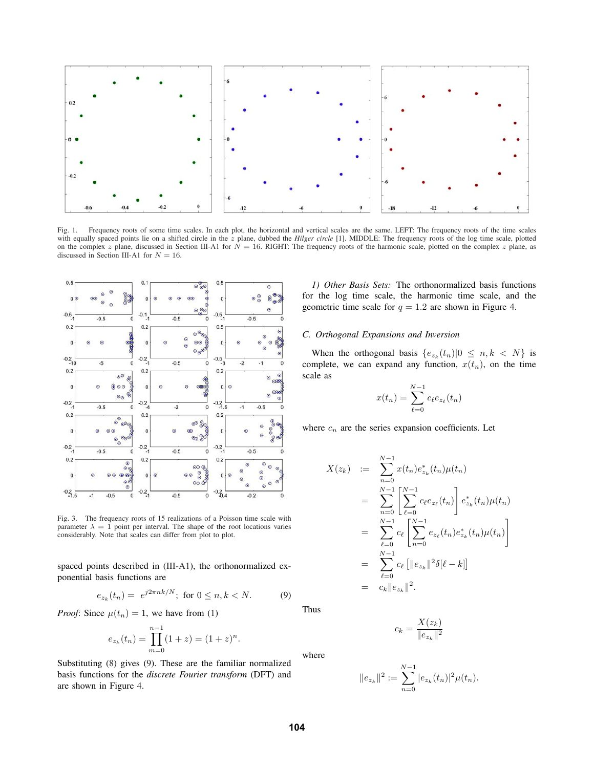

Fig. 1. Frequency roots of some time scales. In each plot, the horizontal and vertical scales are the same. LEFT: The frequency roots of the time scales with equally spaced points lie on a shifted circle in the z plane, dubbed the *Hilger circle* [1]. MIDDLE: The frequency roots of the log time scale, plotted on the complex z plane, discussed in Section III-A1 for  $N = 16$ . RIGHT: The frequency roots of the harmonic scale, plotted on the complex z plane, as discussed in Section III-A1 for  $N = 16$ .



Fig. 3. The frequency roots of 15 realizations of a Poisson time scale with parameter  $\lambda = 1$  point per interval. The shape of the root locations varies considerably. Note that scales can differ from plot to plot.

spaced points described in (III-A1), the orthonormalized exponential basis functions are

$$
e_{z_k}(t_n) = e^{j2\pi nk/N}; \text{ for } 0 \le n, k < N. \tag{9}
$$

*Proof:* Since  $\mu(t_n)=1$ , we have from (1)

$$
e_{z_k}(t_n) = \prod_{m=0}^{n-1} (1+z) = (1+z)^n.
$$

Substituting (8) gives (9). These are the familiar normalized basis functions for the *discrete Fourier transform* (DFT) and are shown in Figure 4.

*1) Other Basis Sets:* The orthonormalized basis functions for the log time scale, the harmonic time scale, and the geometric time scale for  $q = 1.2$  are shown in Figure 4.

#### *C. Orthogonal Expansions and Inversion*

When the orthogonal basis  $\{e_{z_k}(t_n)|0 \leq n, k < N\}$  is complete, we can expand any function,  $x(t_n)$ , on the time scale as

$$
x(t_n) = \sum_{\ell=0}^{N-1} c_{\ell} e_{z_{\ell}}(t_n)
$$

where  $c_n$  are the series expansion coefficients. Let

$$
X(z_k) := \sum_{n=0}^{N-1} x(t_n) e_{z_k}^*(t_n) \mu(t_n)
$$
  
\n
$$
= \sum_{n=0}^{N-1} \left[ \sum_{\ell=0}^{N-1} c_{\ell} e_{z_{\ell}}(t_n) \right] e_{z_k}^*(t_n) \mu(t_n)
$$
  
\n
$$
= \sum_{\ell=0}^{N-1} c_{\ell} \left[ \sum_{n=0}^{N-1} e_{z_{\ell}}(t_n) e_{z_k}^*(t_n) \mu(t_n) \right]
$$
  
\n
$$
= \sum_{\ell=0}^{N-1} c_{\ell} \left[ ||e_{z_k}||^2 \delta[\ell - k] \right]
$$
  
\n
$$
= c_k ||e_{z_k}||^2.
$$

Thus

where

$$
c_k = \frac{X(z_k)}{\|e_{z_k}\|^2}
$$

$$
||e_{z_k}||^2 := \sum_{n=0}^{N-1} |e_{z_k}(t_n)|^2 \mu(t_n).
$$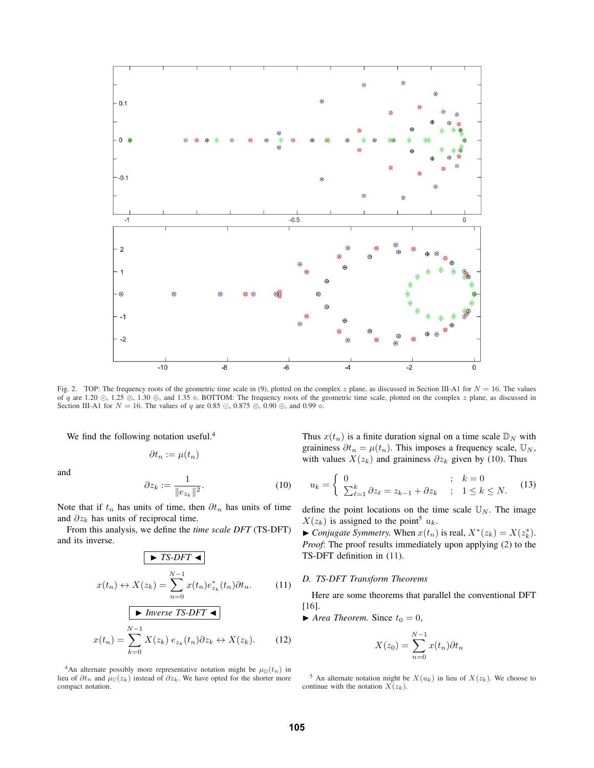

Fig. 2. TOP: The frequency roots of the geometric time scale in (9), plotted on the complex z plane, as discussed in Section III-A1 for  $N = 16$ . The values of q are 1.20 ⊙, 1.25 ⊗, 1.30 ⊕, and 1.35 ◇. BOTTOM: The frequency roots of the geometric time scale, plotted on the complex z plane, as discussed in Section III-A1 for  $N = 16$ . The values of q are 0.85 ⊙, 0.875 ⊗, 0.90 ⊕, and 0.99 ◇.

We find the following notation useful.<sup>4</sup>

$$
\partial t_n:=\mu(t_n)
$$

and

$$
\partial z_k := \frac{1}{\|e_{z_k}\|^2}.\tag{10}
$$

Note that if  $t_n$  has units of time, then  $\partial t_n$  has units of time and  $\partial z_k$  has units of reciprocal time.

From this analysis, we define the *time scale DFT* (TS-DFT) and its inverse.

$$
\boxed{\blacktriangleright TS-DFT \blacktriangleleft}
$$
\n
$$
x(t_n) \leftrightarrow X(z_k) = \sum_{n=0}^{N-1} x(t_n) e_{z_k}^*(t_n) \partial t_n.
$$
\n(11)

$$
\boxed{\blacktriangleright \text{ Inverse TS-DFT } \blacktriangleleft}
$$
\n
$$
x(t_n) = \sum_{k=0}^{N-1} X(z_k) \, e_{z_k}(t_n) \partial z_k \leftrightarrow X(z_k). \tag{12}
$$

<sup>4</sup>An alternate possibly more representative notation might be  $\mu_{\mathbb{D}}(t_n)$  in lieu of  $\partial t_n$  and  $\mu_{\mathbb{U}}(z_k)$  instead of  $\partial z_k$ . We have opted for the shorter more compact notation.

Thus  $x(t_n)$  is a finite duration signal on a time scale  $\mathbb{D}_N$  with graininess  $\partial t_n = \mu(t_n)$ . This imposes a frequency scale,  $\mathbb{U}_N$ , with values  $X(z_k)$  and graininess  $\partial z_k$  given by (10). Thus

$$
u_k = \begin{cases} 0 & ; \quad k = 0\\ \sum_{\ell=1}^k \partial z_\ell = z_{k-1} + \partial z_k & ; \quad 1 \le k \le N. \end{cases} \tag{13}
$$

define the point locations on the time scale  $\mathbb{U}_N$ . The image  $X(z_k)$  is assigned to the point<sup>5</sup>  $u_k$ .

▶ *Conjugate Symmetry.* When  $x(t_n)$  is real,  $X^*(z_k) = X(z_k^*)$ . *Proof*: The proof results immediately upon applying (2) to the TS-DFT definition in (11).

## *D. TS-DFT Transform Theorems*

Here are some theorems that parallel the conventional DFT [16].

 $\blacktriangleright$  *Area Theorem.* Since  $t_0 = 0$ ,

$$
X(z_0) = \sum_{n=0}^{N-1} x(t_n) \partial t_n
$$

<sup>&</sup>lt;sup>5</sup> An alternate notation might be  $X(u_k)$  in lieu of  $X(z_k)$ . We choose to continue with the notation  $\tilde{X}(z_k)$ .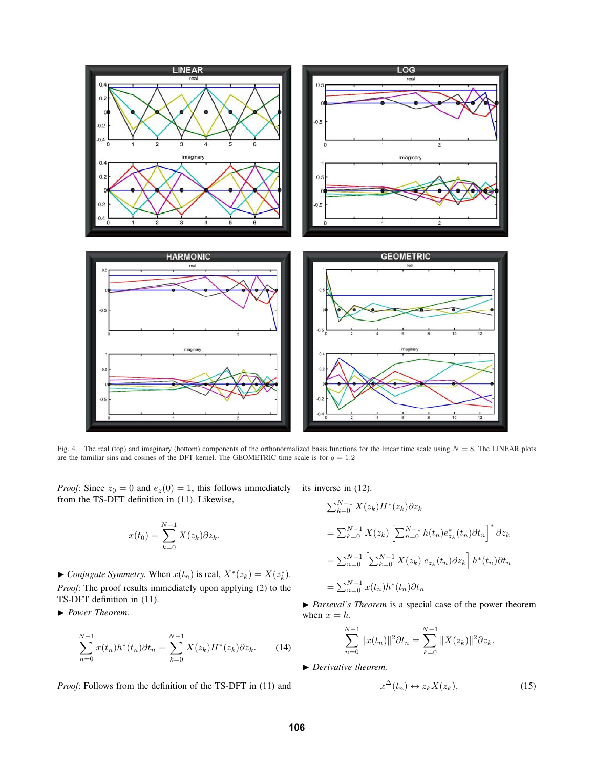

Fig. 4. The real (top) and imaginary (bottom) components of the orthonormalized basis functions for the linear time scale using  $N = 8$ . The LINEAR plots are the familiar sins and cosines of the DFT kernel. The GEOMETRIC time scale is for  $q = 1.2$ 

*Proof*: Since  $z_0 = 0$  and  $e_z(0) = 1$ , this follows immediately its inverse in (12). from the TS-DFT definition in (11). Likewise,

$$
x(t_0) = \sum_{k=0}^{N-1} X(z_k) \partial z_k.
$$

▶ *Conjugate Symmetry.* When  $x(t_n)$  is real,  $X^*(z_k) = X(z_k^*)$ . *Proof*: The proof results immediately upon applying (2) to the TS-DFT definition in (11).

▶ *Power Theorem.*

$$
\sum_{n=0}^{N-1} x(t_n) h^*(t_n) \partial t_n = \sum_{k=0}^{N-1} X(z_k) H^*(z_k) \partial z_k.
$$
 (14)

*Proof*: Follows from the definition of the TS-DFT in (11) and

$$
\sum_{k=0}^{N-1} X(z_k) H^*(z_k) \partial z_k
$$
  
= 
$$
\sum_{k=0}^{N-1} X(z_k) \left[ \sum_{n=0}^{N-1} h(t_n) e_{z_k}^*(t_n) \partial t_n \right]^* \partial z_k
$$
  
= 
$$
\sum_{n=0}^{N-1} \left[ \sum_{k=0}^{N-1} X(z_k) e_{z_k}(t_n) \partial z_k \right] h^*(t_n) \partial t_n
$$
  
= 
$$
\sum_{n=0}^{N-1} x(t_n) h^*(t_n) \partial t_n
$$

▶ *Parseval's Theorem* is a special case of the power theorem when  $x = h$ .

$$
\sum_{n=0}^{N-1} ||x(t_n)||^2 \partial t_n = \sum_{k=0}^{N-1} ||X(z_k)||^2 \partial z_k.
$$

▶ *Derivative theorem.*

$$
x^{\Delta}(t_n) \leftrightarrow z_k X(z_k), \tag{15}
$$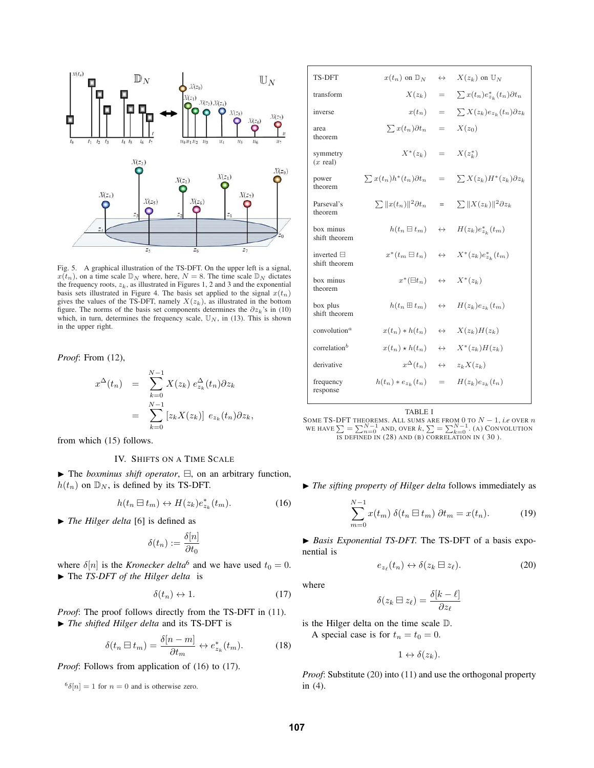

Fig. 5. A graphical illustration of the TS-DFT. On the upper left is a signal,  $x(t_n)$ , on a time scale  $\mathbb{D}_N$  where, here,  $N = 8$ . The time scale  $\mathbb{D}_N$  dictates the frequency roots,  $z_k$ , as illustrated in Figures 1, 2 and 3 and the exponential basis sets illustrated in Figure 4. The basis set applied to the signal  $x(t_n)$ gives the values of the TS-DFT, namely  $X(z_k)$ , as illustrated in the bottom figure. The norms of the basis set components determines the  $\partial z_k$ 's in (10) which, in turn, determines the frequency scale,  $\mathbb{U}_N$ , in (13). This is shown in the upper right.

*Proof*: From (12),

$$
x^{\Delta}(t_n) = \sum_{k=0}^{N-1} X(z_k) e_{z_k}^{\Delta}(t_n) \partial z_k
$$
  
= 
$$
\sum_{k=0}^{N-1} [z_k X(z_k)] e_{z_k}(t_n) \partial z_k,
$$

from which (15) follows.

## IV. SHIFTS ON A TIME SCALE

▶ The *boxminus shift operator*, ⊟, on an arbitrary function,  $h(t_n)$  on  $\mathbb{D}_N$ , is defined by its TS-DFT.

$$
h(t_n \boxminus t_m) \leftrightarrow H(z_k) e^*_{z_k}(t_m). \tag{16}
$$

▶ *The Hilger delta* [6] is defined as

$$
\delta(t_n) := \frac{\delta[n]}{\partial t_0}
$$

where  $\delta[n]$  is the *Kronecker delta*<sup>6</sup> and we have used  $t_0 = 0$ . ▶ The *TS-DFT of the Hilger delta* is

$$
\delta(t_n) \leftrightarrow 1. \tag{17}
$$

*Proof*: The proof follows directly from the TS-DFT in (11). ▶ *The shifted Hilger delta* and its TS-DFT is

$$
\delta(t_n \boxminus t_m) = \frac{\delta[n-m]}{\partial t_m} \leftrightarrow e^*_{z_k}(t_m). \tag{18}
$$

*Proof*: Follows from application of (16) to (17).

 $^{6}\delta[n]=1$  for  $n=0$  and is otherwise zero.

| <b>TS-DFT</b>                         | $x(t_n)$ on $\mathbb{D}_N$                          | $\leftrightarrow$ | $X(z_k)$ on $\mathbb{U}_N$                                                   |
|---------------------------------------|-----------------------------------------------------|-------------------|------------------------------------------------------------------------------|
| transform                             | $X(z_k)$                                            | $=$               | $\sum x(t_n) e_{z_k}^*(t_n) \partial t_n$                                    |
| inverse                               | $x(t_n)$                                            | $=$               | $\sum X(z_k) e_{z_k}(t_n) \partial z_k$                                      |
| area<br>theorem                       | $\sum x(t_n)\partial t_n$                           | $=$               | $X(z_0)$                                                                     |
| symmetry<br>$(x \text{ real})$        | $X^*(z_k)$                                          | $=$               | $X(z_k^*)$                                                                   |
| power<br>theorem                      | $\sum x(t_n)h^*(t_n)\partial t_n$                   | $=$               | $\sum X(z_k)H^*(z_k)\partial z_k$                                            |
| Parseval's<br>theorem                 |                                                     |                   | $\sum   x(t_n)  ^2 \partial t_n = \sum   X(z_k)  ^2 \partial z_k$            |
| box minus<br>shift theorem            |                                                     |                   | $h(t_n \boxminus t_m) \quad \leftrightarrow \quad H(z_k) e_{z_k}^*(t_m)$     |
| inverted $\Box$<br>shift theorem      |                                                     |                   | $x^*(t_m \boxminus t_n) \quad \leftrightarrow \quad X^*(z_k) e^*_{z_k}(t_m)$ |
| box minus<br>theorem                  | $x^*(\Xi t_n) \quad \leftrightarrow \quad X^*(z_k)$ |                   |                                                                              |
| box plus<br>shift theorem             | $h(t_n \boxplus t_m)$                               | $\leftrightarrow$ | $H(z_k) e_{z_k}(t_m)$                                                        |
| convolution <sup><math>a</math></sup> | $x(t_n) * h(t_n)$                                   | $\leftrightarrow$ | $X(z_k)H(z_k)$                                                               |
| correlation <sup>b</sup>              | $x(t_n) * h(t_n)$                                   | $\leftrightarrow$ | $X^*(z_k)H(z_k)$                                                             |
| derivative                            | $x^{\Delta}(t_n)$                                   | $\leftrightarrow$ | $z_k X(z_k)$                                                                 |
| frequency<br>response                 | $h(t_n)*e_{z_k}(t_n)$                               | $=$               | $H(z_k) e_{z_k}(t_n)$                                                        |

TABLE I

SOME TS-DFT THEOREMS. ALL SUMS ARE FROM 0 TO  $N - 1$ , *i.e* OVER *n* we have  $\sum = \sum_{n=0}^{N-1}$  and, over  $k$ ,  $\sum = \sum_{k=0}^{N-1}$ . (A) CONVOLUTION IS DEFINED IN (28) AND (B) CORRELATION IN (30).

▶ *The sifting property of Hilger delta* follows immediately as

$$
\sum_{m=0}^{N-1} x(t_m) \; \delta(t_n \boxminus t_m) \; \partial t_m = x(t_n). \tag{19}
$$

▶ *Basis Exponential TS-DFT.* The TS-DFT of a basis exponential is

$$
e_{z_{\ell}}(t_n) \leftrightarrow \delta(z_k \boxminus z_{\ell}). \tag{20}
$$

where

$$
\delta(z_k \boxminus z_\ell) = \frac{\delta[k-\ell]}{\partial z_\ell}
$$

is the Hilger delta on the time scale  $D$ . A special case is for  $t_n = t_0 = 0$ .

 $1 \leftrightarrow \delta(z_k)$ .

*Proof:* Substitute (20) into (11) and use the orthogonal property in (4).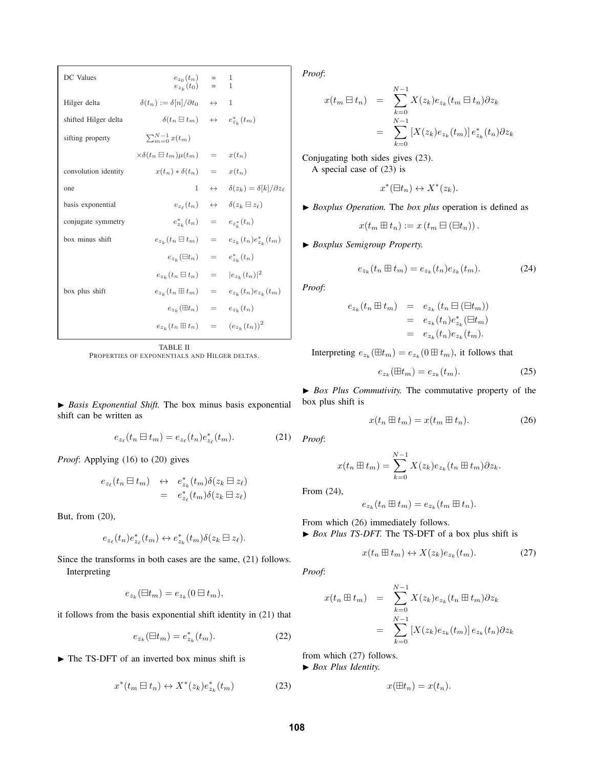| DC Values            | $e_{z_0}(t_n) =$<br>$e_{z_k}(t_0) =$                                   | 1<br>$\mathbf{1}$                                                              |
|----------------------|------------------------------------------------------------------------|--------------------------------------------------------------------------------|
| Hilger delta         | $\delta(t_n) := \delta[n]/\partial t_0 \quad \leftrightarrow$          | 1                                                                              |
| shifted Hilger delta | $\delta(t_n \boxminus t_m) \quad \leftrightarrow \quad e^*_{z_k}(t_m)$ |                                                                                |
| sifting property     | $\sum_{m=0}^{N-1} x(t_m)$                                              |                                                                                |
|                      | $\times \delta(t_n \boxminus t_m) \mu(t_m) = x(t_n)$                   |                                                                                |
| convolution identity | $x(t_n) * \delta(t_n) = x(t_n)$                                        |                                                                                |
| one                  | $\mathbf{1}$                                                           | $\leftrightarrow \delta(z_k) = \delta[k]/\partial z_\ell$                      |
| basis exponential    |                                                                        | $e_{z_{\ell}}(t_n) \quad \leftrightarrow \quad \delta(z_k \boxminus z_{\ell})$ |
| conjugate symmetry   | $e_{z_k}^*(t_n) = e_{z_k^*}(t_n)$                                      |                                                                                |
| box minus shift      |                                                                        | $e_{z_k}(t_n \boxminus t_m) = e_{z_k}(t_n) e_{z_k}^*(t_m)$                     |
|                      | $e_{z_k}(\Xi t_n) = e_{z_k}^*(t_n)$                                    |                                                                                |
|                      | $e_{z_k}(t_n \boxminus t_n) =  e_{z_k}(t_n) ^2$                        |                                                                                |
| box plus shift       |                                                                        | $e_{z_k}(t_n \boxplus t_m) = e_{z_k}(t_n) e_{z_k}(t_m)$                        |
|                      | $e_{z_k}(\boxplus t_n) = e_{z_k}(t_n)$                                 |                                                                                |
|                      | $e_{z_k}(t_n \boxplus t_n) = (e_{z_k}(t_n))^2$                         |                                                                                |

TABLE II

PROPERTIES OF EXPONENTIALS AND HILGER DELTAS.

▶ *Basis Exponential Shift.* The box minus basis exponential shift can be written as

$$
e_{z_{\ell}}(t_n \boxminus t_m) = e_{z_{\ell}}(t_n) e_{z_{\ell}}^*(t_m). \tag{21}
$$

*Proof:* Applying (16) to (20) gives

$$
e_{z_{\ell}}(t_n \boxminus t_m) \leftrightarrow e_{z_k}^*(t_m) \delta(z_k \boxminus z_{\ell})
$$
  
= 
$$
e_{z_{\ell}}^*(t_m) \delta(z_k \boxminus z_{\ell})
$$

But, from (20),

$$
e_{z_{\ell}}(t_n)e_{z_{\ell}}^*(t_m) \leftrightarrow e_{z_k}^*(t_m)\delta(z_k \boxminus z_{\ell}).
$$

Since the transforms in both cases are the same, (21) follows. Interpreting

$$
e_{z_k}(\Xi t_m) = e_{z_k}(0 \Xi t_m),
$$

it follows from the basis exponential shift identity in (21) that

$$
e_{z_k}(\Xi t_m) = e_{z_k}^*(t_m). \tag{22}
$$

▶ The TS-DFT of an inverted box minus shift is

$$
x^*(t_m \boxminus t_n) \leftrightarrow X^*(z_k) e^*_{z_k}(t_m) \tag{23}
$$

*Proof*:

$$
x(t_m \boxminus t_n) = \sum_{k=0}^{N-1} X(z_k) e_{z_k}(t_m \boxminus t_n) \partial z_k
$$
  

$$
= \sum_{k=0}^{N-1} [X(z_k) e_{z_k}(t_m)] e_{z_k}^*(t_n) \partial z_k
$$

Conjugating both sides gives (23). A special case of (23) is

$$
x^*(\Xi t_n) \leftrightarrow X^*(z_k).
$$

▶ *Boxplus Operation.* The *box plus* operation is defined as

$$
x(t_m \boxplus t_n) := x(t_m \boxminus (\boxminus t_n)).
$$

▶ *Boxplus Semigroup Property.*

$$
e_{z_k}(t_n \boxplus t_m) = e_{z_k}(t_n) e_{z_k}(t_m). \tag{24}
$$

*Proof*:

$$
e_{z_k}(t_n \boxplus t_m) = e_{z_k}(t_n \boxminus (\boxplus t_m))
$$
  
= 
$$
e_{z_k}(t_n)e_{z_k}^*(\boxplus t_m)
$$
  
= 
$$
e_{z_k}(t_n)e_{z_k}(t_m).
$$

Interpreting  $e_{z_k}(\boxplus t_m) = e_{z_k}(0 \boxplus t_m)$ , it follows that

$$
e_{z_k}(\boxplus t_m) = e_{z_k}(t_m). \tag{25}
$$

▶ *Box Plus Commutivity.* The commutative property of the box plus shift is

$$
x(t_n \boxplus t_m) = x(t_m \boxplus t_n). \tag{26}
$$

*Proof*:

$$
x(t_n \boxplus t_m) = \sum_{k=0}^{N-1} X(z_k) e_{z_k}(t_n \boxplus t_m) \partial z_k.
$$

From (24),

$$
e_{z_k}(t_n \boxplus t_m) = e_{z_k}(t_m \boxplus t_n).
$$

From which (26) immediately follows. ▶ *Box Plus TS-DFT*. The TS-DFT of a box plus shift is

$$
x(t_n \boxplus t_m) \leftrightarrow X(z_k)e_{z_k}(t_m). \tag{27}
$$

*Proof*:

$$
x(t_n \boxplus t_m) = \sum_{k=0}^{N-1} X(z_k) e_{z_k}(t_n \boxplus t_m) \partial z_k
$$
  

$$
= \sum_{k=0}^{N-1} [X(z_k) e_{z_k}(t_m)] e_{z_k}(t_n) \partial z_k
$$

from which (27) follows.

▶ *Box Plus Identity.*

$$
x(\boxplus t_n) = x(t_n).
$$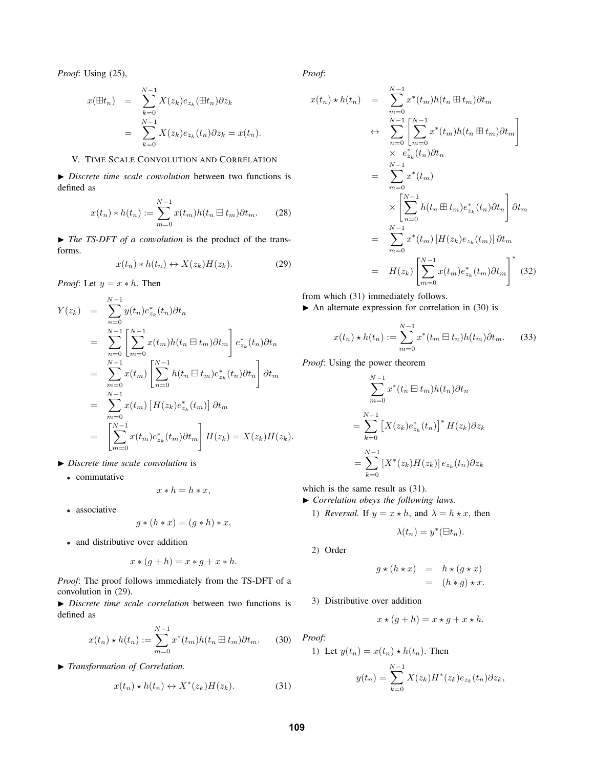*Proof*: Using (25),

$$
x(\boxplus t_n) = \sum_{k=0}^{N-1} X(z_k) e_{z_k} (\boxplus t_n) \partial z_k
$$
  
= 
$$
\sum_{k=0}^{N-1} X(z_k) e_{z_k}(t_n) \partial z_k = x(t_n).
$$

# V. TIME SCALE CONVOLUTION AND CORRELATION

▶ *Discrete time scale convolution* between two functions is defined as

$$
x(t_n) * h(t_n) := \sum_{m=0}^{N-1} x(t_m)h(t_n \boxminus t_m) \partial t_m.
$$
 (28)

▶ *The TS-DFT of a convolution* is the product of the transforms.

$$
x(t_n) * h(t_n) \leftrightarrow X(z_k)H(z_k). \tag{29}
$$

*Proof*: Let  $y = x * h$ . Then

$$
Y(z_k) = \sum_{n=0}^{N-1} y(t_n) e_{z_k}^*(t_n) \partial t_n
$$
  
\n
$$
= \sum_{n=0}^{N-1} \left[ \sum_{m=0}^{N-1} x(t_m) h(t_n \boxminus t_m) \partial t_m \right] e_{z_k}^*(t_n) \partial t_n
$$
  
\n
$$
= \sum_{m=0}^{N-1} x(t_m) \left[ \sum_{n=0}^{N-1} h(t_n \boxminus t_m) e_{z_k}^*(t_n) \partial t_n \right] \partial t_m
$$
  
\n
$$
= \sum_{m=0}^{N-1} x(t_m) \left[ H(z_k) e_{z_k}^*(t_m) \right] \partial t_m
$$
  
\n
$$
= \left[ \sum_{m=0}^{N-1} x(t_m) e_{z_k}^*(t_m) \partial t_m \right] H(z_k) = X(z_k) H(z_k).
$$

- ▶ *Discrete time scale convolution* is
	- <sup>∙</sup> commutative

$$
x * h = h * x,
$$

<sup>∙</sup> associative

$$
g * (h * x) = (g * h) * x,
$$

<sup>∙</sup> and distributive over addition

$$
x \ast (g+h) = x \ast g + x \ast h.
$$

*Proof*: The proof follows immediately from the TS-DFT of a convolution in (29).

▶ *Discrete time scale correlation* between two functions is defined as

$$
x(t_n) \star h(t_n) := \sum_{m=0}^{N-1} x^*(t_m) h(t_n \boxplus t_m) \partial t_m.
$$
 (30)

▶ *Transformation of Correlation.*

$$
x(t_n) \star h(t_n) \leftrightarrow X^*(z_k)H(z_k). \tag{31}
$$

*Proof*:

$$
x(t_n) \star h(t_n) = \sum_{m=0}^{N-1} x^*(t_m)h(t_n \boxplus t_m) \partial t_m
$$
  
\n
$$
\leftrightarrow \sum_{n=0}^{N-1} \left[ \sum_{m=0}^{N-1} x^*(t_m)h(t_n \boxplus t_m) \partial t_m \right]
$$
  
\n
$$
\times e_{z_k}^*(t_n) \partial t_n
$$
  
\n
$$
= \sum_{m=0}^{N-1} x^*(t_m)
$$
  
\n
$$
\times \left[ \sum_{n=0}^{N-1} h(t_n \boxplus t_m) e_{z_k}^*(t_n) \partial t_n \right] \partial t_m
$$
  
\n
$$
= \sum_{m=0}^{N-1} x^*(t_m) \left[ H(z_k) e_{z_k}(t_m) \right] \partial t_m
$$
  
\n
$$
= H(z_k) \left[ \sum_{m=0}^{N-1} x(t_m) e_{z_k}^*(t_m) \partial t_m \right]^*
$$
(32)

from which (31) immediately follows.

 $\blacktriangleright$  An alternate expression for correlation in (30) is

$$
x(t_n) \star h(t_n) := \sum_{m=0}^{N-1} x^*(t_m \boxminus t_n) h(t_m) \partial t_m.
$$
 (33)

*Proof*: Using the power theorem

$$
\sum_{m=0}^{N-1} x^*(t_n \boxminus t_m) h(t_n) \partial t_n
$$
  
= 
$$
\sum_{k=0}^{N-1} \left[ X(z_k) e^*_{z_k}(t_n) \right]^* H(z_k) \partial z_k
$$
  
= 
$$
\sum_{k=0}^{N-1} \left[ X^*(z_k) H(z_k) \right] e_{z_k}(t_n) \partial z_k
$$

which is the same result as (31).

- ▶ *Correlation obeys the following laws.*
	- 1) *Reversal.* If  $y = x * h$ , and  $\lambda = h * x$ , then

$$
\lambda(t_n) = y^*(\boxminus t_n).
$$

2) Order

$$
g \star (h \star x) = h \star (g \star x)
$$
  
=  $(h * g) \star x$ .

3) Distributive over addition

$$
x \star (g + h) = x \star g + x \star h.
$$

*Proof*:

1) Let 
$$
y(t_n) = x(t_n) \star h(t_n)
$$
. Then  
\n
$$
y(t_n) = \sum_{k=0}^{N-1} X(z_k) H^*(z_k) e_{z_k}(t_n) \partial z_k,
$$